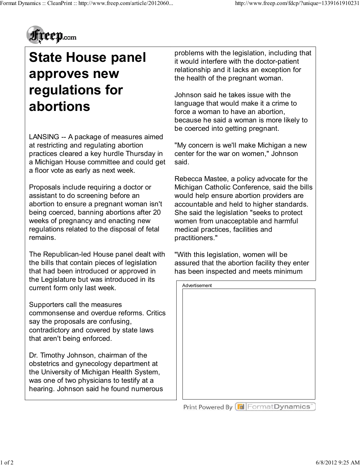

## **State House panel approves new regulations for abortions**

LANSING -- A package of measures aimed at restricting and regulating abortion practices cleared a key hurdle Thursday in a Michigan House committee and could get a floor vote as early as next week.

Proposals include requiring a doctor or assistant to do screening before an abortion to ensure a pregnant woman isn't being coerced, banning abortions after 20 weeks of pregnancy and enacting new regulations related to the disposal of fetal remains.

The Republican-led House panel dealt with the bills that contain pieces of legislation that had been introduced or approved in the Legislature but was introduced in its current form only last week.

Supporters call the measures commonsense and overdue reforms. Critics say the proposals are confusing, contradictory and covered by state laws that aren't being enforced.

Dr. Timothy Johnson, chairman of the obstetrics and gynecology department at the University of Michigan Health System, was one of two physicians to testify at a hearing. Johnson said he found numerous

problems with the legislation, including that it would interfere with the doctor-patient relationship and it lacks an exception for the health of the pregnant woman.

Johnson said he takes issue with the language that would make it a crime to force a woman to have an abortion, because he said a woman is more likely to be coerced into getting pregnant.

"My concern is we'll make Michigan a new center for the war on women," Johnson said.

Rebecca Mastee, a policy advocate for the Michigan Catholic Conference, said the bills would help ensure abortion providers are accountable and held to higher standards. She said the legislation "seeks to protect women from unacceptable and harmful medical practices, facilities and practitioners."

"With this legislation, women will be assured that the abortion facility they enter has been inspected and meets minimum